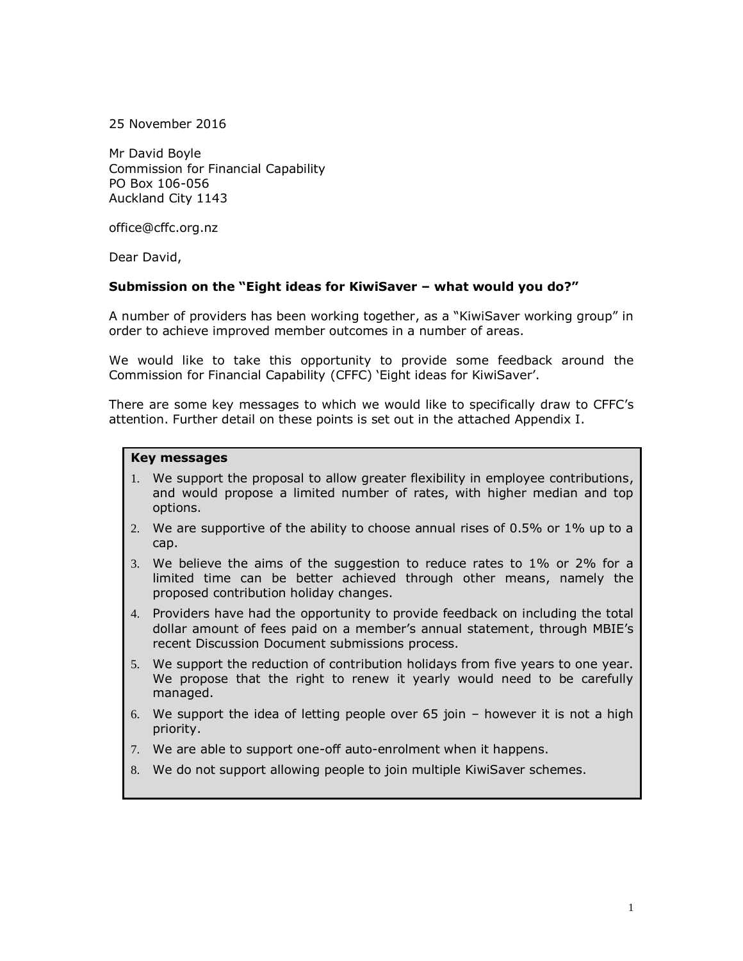25 November 2016

Mr David Boyle Commission for Financial Capability PO Box 106-056 Auckland City 1143

office@cffc.org.nz

Dear David,

# **Submission on the "Eight ideas for KiwiSaver – what would you do?"**

A number of providers has been working together, as a "KiwiSaver working group" in order to achieve improved member outcomes in a number of areas.

We would like to take this opportunity to provide some feedback around the Commission for Financial Capability (CFFC) 'Eight ideas for KiwiSaver'.

There are some key messages to which we would like to specifically draw to CFFC's attention. Further detail on these points is set out in the attached Appendix I.

#### **Key messages**

- 1. We support the proposal to allow greater flexibility in employee contributions, and would propose a limited number of rates, with higher median and top options.
- 2. We are supportive of the ability to choose annual rises of 0.5% or 1% up to a cap.
- 3. We believe the aims of the suggestion to reduce rates to 1% or 2% for a limited time can be better achieved through other means, namely the proposed contribution holiday changes.
- 4. Providers have had the opportunity to provide feedback on including the total dollar amount of fees paid on a member's annual statement, through MBIE's recent Discussion Document submissions process.
- 5. We support the reduction of contribution holidays from five years to one year. We propose that the right to renew it yearly would need to be carefully managed.
- 6. We support the idea of letting people over 65 join however it is not a high priority.
- 7. We are able to support one-off auto-enrolment when it happens.
- 8. We do not support allowing people to join multiple KiwiSaver schemes.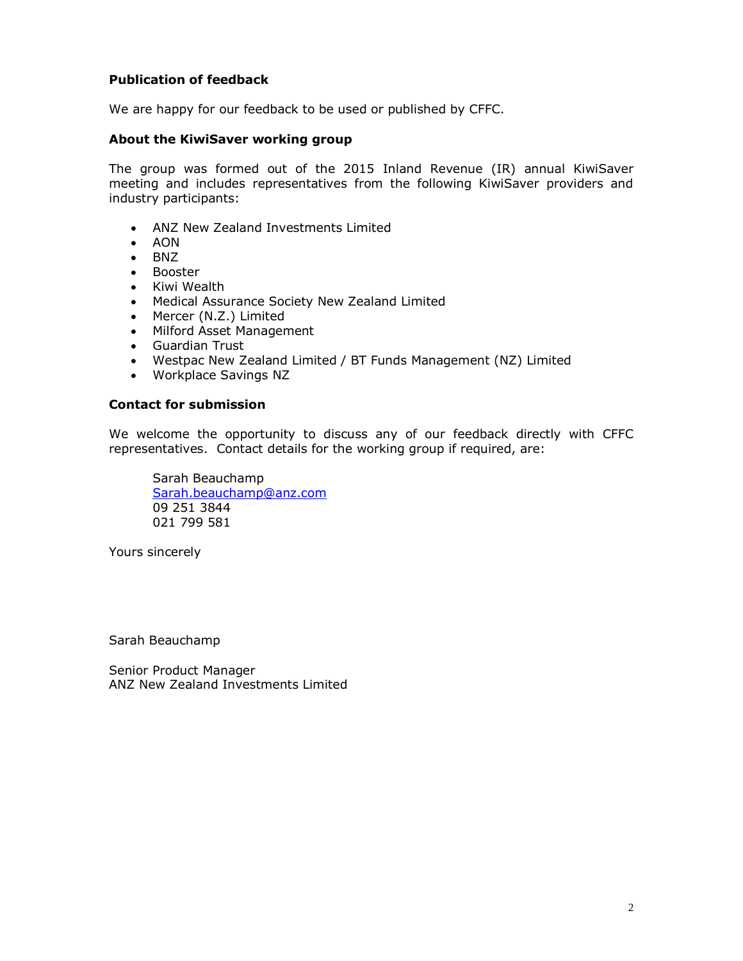# **Publication of feedback**

We are happy for our feedback to be used or published by CFFC.

# **About the KiwiSaver working group**

The group was formed out of the 2015 Inland Revenue (IR) annual KiwiSaver meeting and includes representatives from the following KiwiSaver providers and industry participants:

- ANZ New Zealand Investments Limited
- $\bullet$  AON
- $\bullet$  BNZ
- Booster
- Kiwi Wealth
- Medical Assurance Society New Zealand Limited
- Mercer (N.Z.) Limited
- Milford Asset Management
- Guardian Trust
- Westpac New Zealand Limited / BT Funds Management (NZ) Limited
- Workplace Savings NZ

# **Contact for submission**

We welcome the opportunity to discuss any of our feedback directly with CFFC representatives. Contact details for the working group if required, are:

Sarah Beauchamp [Sarah.beauchamp@anz.com](mailto:Sarah.beauchamp@anz.com) 09 251 3844 021 799 581

Yours sincerely

Sarah Beauchamp

Senior Product Manager ANZ New Zealand Investments Limited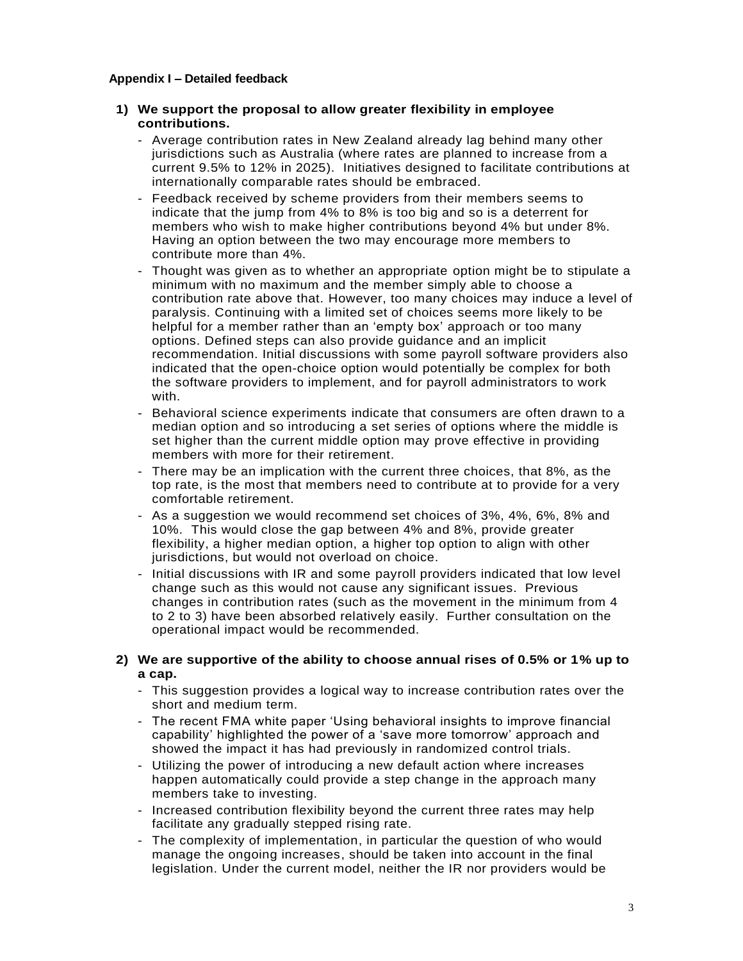#### **Appendix I – Detailed feedback**

# **1) We support the proposal to allow greater flexibility in employee contributions.**

- Average contribution rates in New Zealand already lag behind many other jurisdictions such as Australia (where rates are planned to increase from a current 9.5% to 12% in 2025). Initiatives designed to facilitate contributions at internationally comparable rates should be embraced.
- Feedback received by scheme providers from their members seems to indicate that the jump from 4% to 8% is too big and so is a deterrent for members who wish to make higher contributions beyond 4% but under 8%. Having an option between the two may encourage more members to contribute more than 4%.
- Thought was given as to whether an appropriate option might be to stipulate a minimum with no maximum and the member simply able to choose a contribution rate above that. However, too many choices may induce a level of paralysis. Continuing with a limited set of choices seems more likely to be helpful for a member rather than an 'empty box' approach or too many options. Defined steps can also provide guidance and an implicit recommendation. Initial discussions with some payroll software providers also indicated that the open-choice option would potentially be complex for both the software providers to implement, and for payroll administrators to work with.
- Behavioral science experiments indicate that consumers are often drawn to a median option and so introducing a set series of options where the middle is set higher than the current middle option may prove effective in providing members with more for their retirement.
- There may be an implication with the current three choices, that 8%, as the top rate, is the most that members need to contribute at to provide for a very comfortable retirement.
- As a suggestion we would recommend set choices of 3%, 4%, 6%, 8% and 10%. This would close the gap between 4% and 8%, provide greater flexibility, a higher median option, a higher top option to align with other jurisdictions, but would not overload on choice.
- Initial discussions with IR and some payroll providers indicated that low level change such as this would not cause any significant issues. Previous changes in contribution rates (such as the movement in the minimum from 4 to 2 to 3) have been absorbed relatively easily. Further consultation on the operational impact would be recommended.

# **2) We are supportive of the ability to choose annual rises of 0.5% or 1% up to a cap.**

- This suggestion provides a logical way to increase contribution rates over the short and medium term.
- The recent FMA white paper 'Using behavioral insights to improve financial capability' highlighted the power of a 'save more tomorrow' approach and showed the impact it has had previously in randomized control trials.
- Utilizing the power of introducing a new default action where increases happen automatically could provide a step change in the approach many members take to investing.
- Increased contribution flexibility beyond the current three rates may help facilitate any gradually stepped rising rate.
- The complexity of implementation, in particular the question of who would manage the ongoing increases, should be taken into account in the final legislation. Under the current model, neither the IR nor providers would be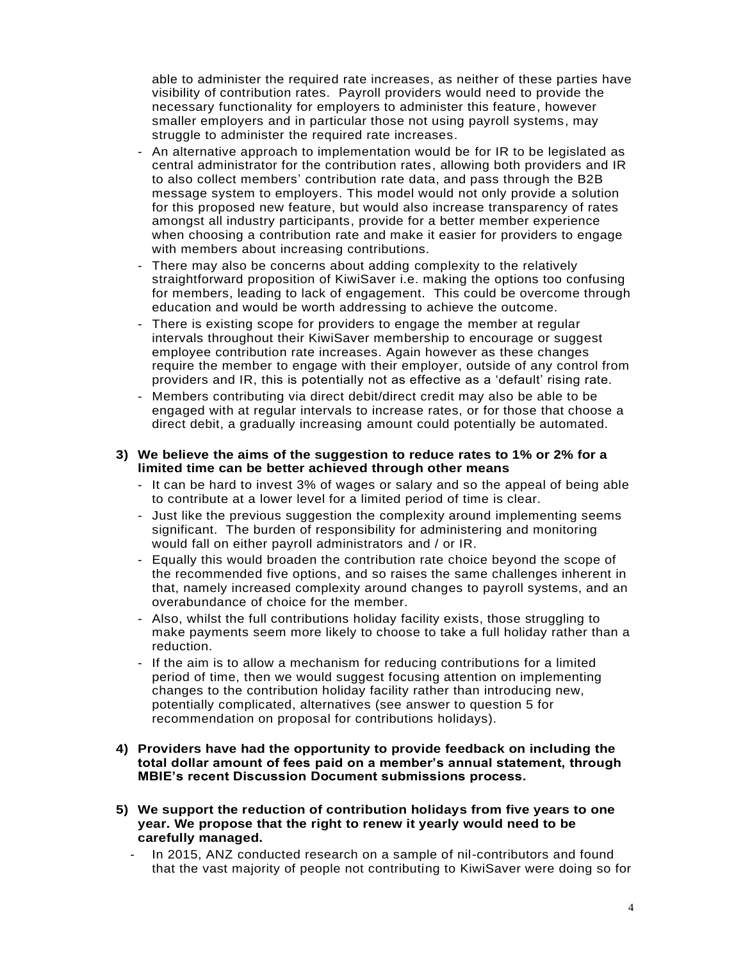able to administer the required rate increases, as neither of these parties have visibility of contribution rates. Payroll providers would need to provide the necessary functionality for employers to administer this feature, however smaller employers and in particular those not using payroll systems, may struggle to administer the required rate increases.

- An alternative approach to implementation would be for IR to be legislated as central administrator for the contribution rates, allowing both providers and IR to also collect members' contribution rate data, and pass through the B2B message system to employers. This model would not only provide a solution for this proposed new feature, but would also increase transparency of rates amongst all industry participants, provide for a better member experience when choosing a contribution rate and make it easier for providers to engage with members about increasing contributions.
- There may also be concerns about adding complexity to the relatively straightforward proposition of KiwiSaver i.e. making the options too confusing for members, leading to lack of engagement. This could be overcome through education and would be worth addressing to achieve the outcome.
- There is existing scope for providers to engage the member at regular intervals throughout their KiwiSaver membership to encourage or suggest employee contribution rate increases. Again however as these changes require the member to engage with their employer, outside of any control from providers and IR, this is potentially not as effective as a 'default' rising rate.
- Members contributing via direct debit/direct credit may also be able to be engaged with at regular intervals to increase rates, or for those that choose a direct debit, a gradually increasing amount could potentially be automated.

# **3) We believe the aims of the suggestion to reduce rates to 1% or 2% for a limited time can be better achieved through other means**

- It can be hard to invest 3% of wages or salary and so the appeal of being able to contribute at a lower level for a limited period of time is clear.
- Just like the previous suggestion the complexity around implementing seems significant. The burden of responsibility for administering and monitoring would fall on either payroll administrators and / or IR.
- Equally this would broaden the contribution rate choice beyond the scope of the recommended five options, and so raises the same challenges inherent in that, namely increased complexity around changes to payroll systems, and an overabundance of choice for the member.
- Also, whilst the full contributions holiday facility exists, those struggling to make payments seem more likely to choose to take a full holiday rather than a reduction.
- If the aim is to allow a mechanism for reducing contributions for a limited period of time, then we would suggest focusing attention on implementing changes to the contribution holiday facility rather than introducing new, potentially complicated, alternatives (see answer to question 5 for recommendation on proposal for contributions holidays).
- **4) Providers have had the opportunity to provide feedback on including the total dollar amount of fees paid on a member's annual statement, through MBIE's recent Discussion Document submissions process.**
- **5) We support the reduction of contribution holidays from five years to one year. We propose that the right to renew it yearly would need to be carefully managed.**
	- In 2015, ANZ conducted research on a sample of nil-contributors and found that the vast majority of people not contributing to KiwiSaver were doing so for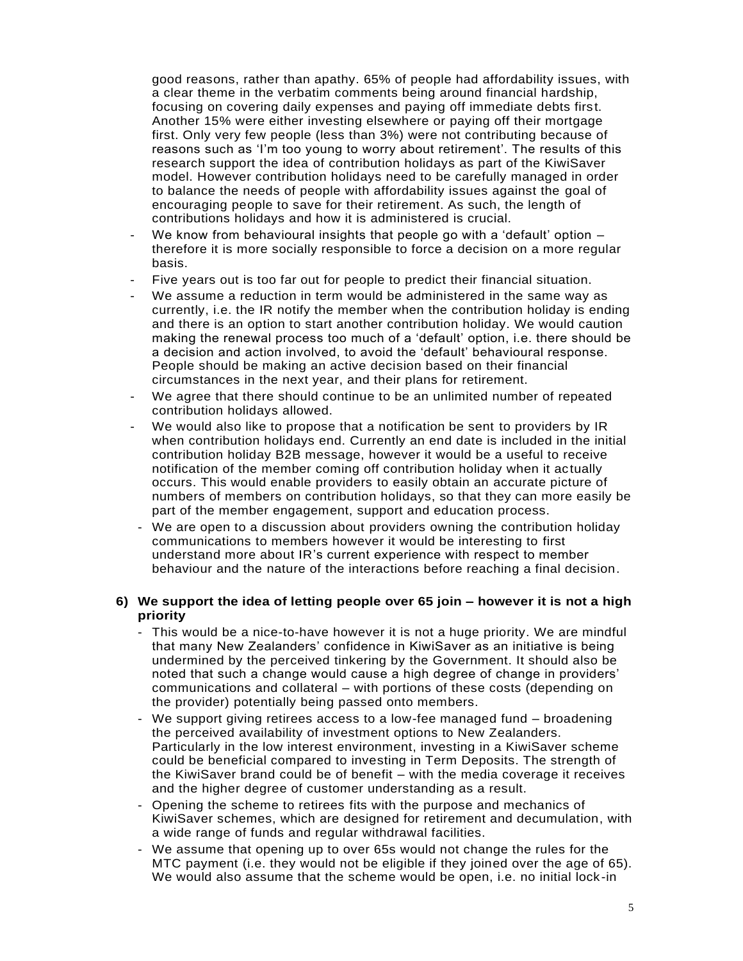good reasons, rather than apathy. 65% of people had affordability issues, with a clear theme in the verbatim comments being around financial hardship, focusing on covering daily expenses and paying off immediate debts first. Another 15% were either investing elsewhere or paying off their mortgage first. Only very few people (less than 3%) were not contributing because of reasons such as 'I'm too young to worry about retirement'. The results of this research support the idea of contribution holidays as part of the KiwiSaver model. However contribution holidays need to be carefully managed in order to balance the needs of people with affordability issues against the goal of encouraging people to save for their retirement. As such, the length of contributions holidays and how it is administered is crucial.

- We know from behavioural insights that people go with a 'default' option  $$ therefore it is more socially responsible to force a decision on a more regular basis.
- Five years out is too far out for people to predict their financial situation.
- We assume a reduction in term would be administered in the same way as currently, i.e. the IR notify the member when the contribution holiday is ending and there is an option to start another contribution holiday. We would caution making the renewal process too much of a 'default' option, i.e. there should be a decision and action involved, to avoid the 'default' behavioural response. People should be making an active decision based on their financial circumstances in the next year, and their plans for retirement.
- We agree that there should continue to be an unlimited number of repeated contribution holidays allowed.
- We would also like to propose that a notification be sent to providers by IR when contribution holidays end. Currently an end date is included in the initial contribution holiday B2B message, however it would be a useful to receive notification of the member coming off contribution holiday when it actually occurs. This would enable providers to easily obtain an accurate picture of numbers of members on contribution holidays, so that they can more easily be part of the member engagement, support and education process.
- We are open to a discussion about providers owning the contribution holiday communications to members however it would be interesting to first understand more about IR's current experience with respect to member behaviour and the nature of the interactions before reaching a final decision.

# **6) We support the idea of letting people over 65 join – however it is not a high priority**

- This would be a nice-to-have however it is not a huge priority. We are mindful that many New Zealanders' confidence in KiwiSaver as an initiative is being undermined by the perceived tinkering by the Government. It should also be noted that such a change would cause a high degree of change in providers' communications and collateral – with portions of these costs (depending on the provider) potentially being passed onto members.
- We support giving retirees access to a low-fee managed fund broadening the perceived availability of investment options to New Zealanders. Particularly in the low interest environment, investing in a KiwiSaver scheme could be beneficial compared to investing in Term Deposits. The strength of the KiwiSaver brand could be of benefit – with the media coverage it receives and the higher degree of customer understanding as a result.
- Opening the scheme to retirees fits with the purpose and mechanics of KiwiSaver schemes, which are designed for retirement and decumulation, with a wide range of funds and regular withdrawal facilities.
- We assume that opening up to over 65s would not change the rules for the MTC payment (i.e. they would not be eligible if they joined over the age of 65). We would also assume that the scheme would be open, i.e. no initial lock-in